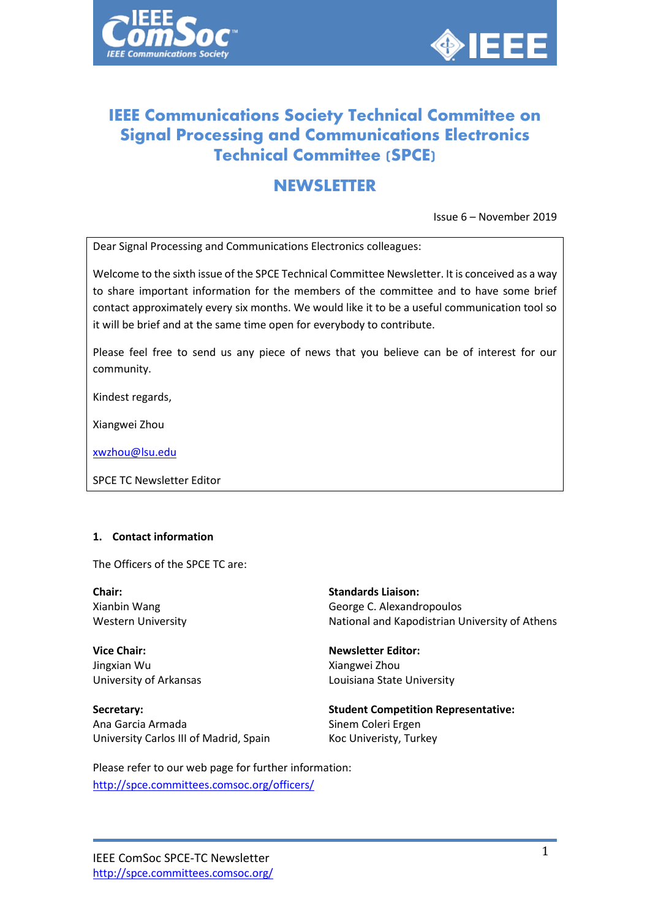



# **IEEE Communications Society Technical Committee on Signal Processing and Communications Electronics Technical Committee (SPCE)**

# **NEWSLETTER**

Issue 6 – November 2019

Dear Signal Processing and Communications Electronics colleagues:

Welcome to the sixth issue of the SPCE Technical Committee Newsletter. It is conceived as a way to share important information for the members of the committee and to have some brief contact approximately every six months. We would like it to be a useful communication tool so it will be brief and at the same time open for everybody to contribute.

Please feel free to send us any piece of news that you believe can be of interest for our community.

Kindest regards,

Xiangwei Zhou

[xwzhou@lsu.edu](mailto:xwzhou@lsu.edu)

SPCE TC Newsletter Editor

## **1. Contact information**

The Officers of the SPCE TC are:

**Chair:** Xianbin Wang Western University

**Vice Chair:** Jingxian Wu University of Arkansas

**Secretary:** Ana Garcia Armada University Carlos III of Madrid, Spain **Standards Liaison:** George C. Alexandropoulos National and Kapodistrian University of Athens

**Newsletter Editor:** Xiangwei Zhou Louisiana State University

**Student Competition Representative:** Sinem Coleri Ergen Koc Univeristy, Turkey

## Please refer to our web page for further information:

<http://spce.committees.comsoc.org/officers/>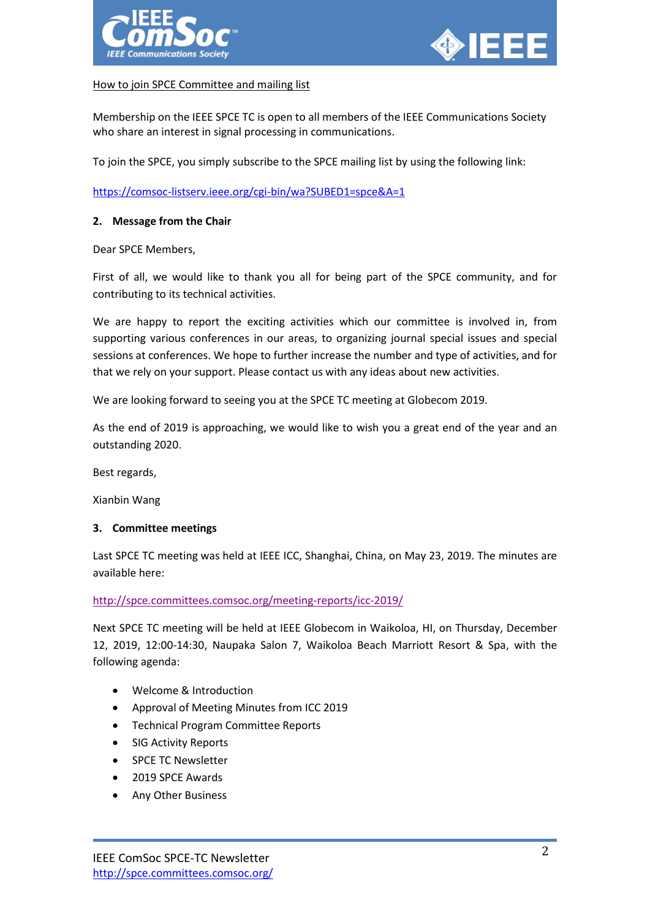



## How to join SPCE Committee and mailing list

Membership on the IEEE SPCE TC is open to all members of the IEEE Communications Society who share an interest in signal processing in communications.

To join the SPCE, you simply subscribe to the SPCE mailing list by using the following link:

<https://comsoc-listserv.ieee.org/cgi-bin/wa?SUBED1=spce&A=1>

## **2. Message from the Chair**

Dear SPCE Members,

First of all, we would like to thank you all for being part of the SPCE community, and for contributing to its technical activities.

We are happy to report the exciting activities which our committee is involved in, from supporting various conferences in our areas, to organizing journal special issues and special sessions at conferences. We hope to further increase the number and type of activities, and for that we rely on your support. Please contact us with any ideas about new activities.

We are looking forward to seeing you at the SPCE TC meeting at Globecom 2019.

As the end of 2019 is approaching, we would like to wish you a great end of the year and an outstanding 2020.

Best regards,

Xianbin Wang

## **3. Committee meetings**

Last SPCE TC meeting was held at IEEE ICC, Shanghai, China, on May 23, 2019. The minutes are available here:

<http://spce.committees.comsoc.org/meeting-reports/icc-2019/>

Next SPCE TC meeting will be held at IEEE Globecom in Waikoloa, HI, on Thursday, December 12, 2019, 12:00-14:30, Naupaka Salon 7, Waikoloa Beach Marriott Resort & Spa, with the following agenda:

- Welcome & Introduction
- Approval of Meeting Minutes from ICC 2019
- Technical Program Committee Reports
- SIG Activity Reports
- SPCE TC Newsletter
- 2019 SPCE Awards
- Any Other Business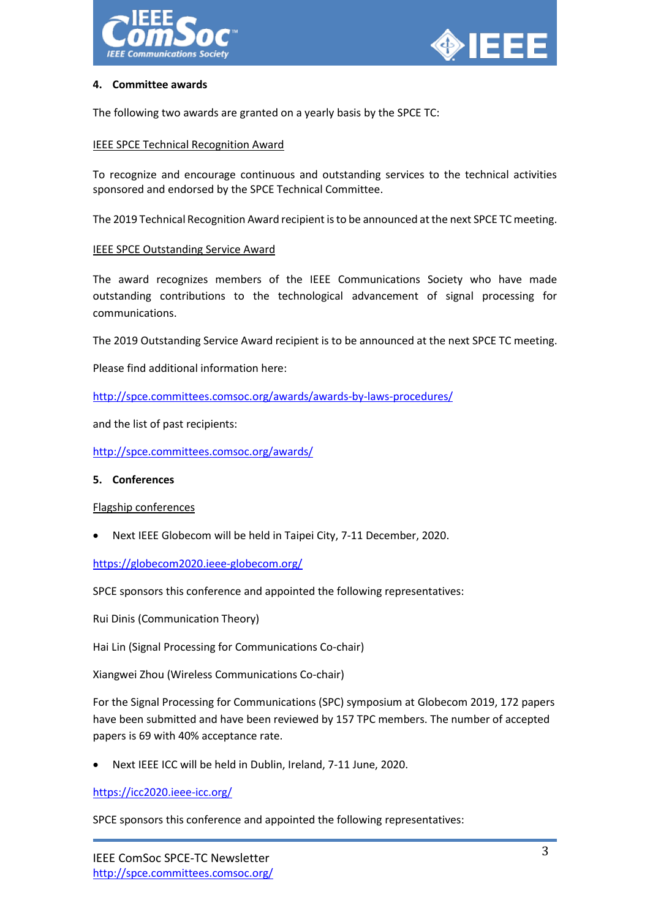



## **4. Committee awards**

The following two awards are granted on a yearly basis by the SPCE TC:

## **IEEE SPCE Technical Recognition Award**

To recognize and encourage continuous and outstanding services to the technical activities sponsored and endorsed by the SPCE Technical Committee.

The 2019 Technical Recognition Award recipient isto be announced at the next SPCE TC meeting.

## IEEE SPCE Outstanding Service Award

The award recognizes members of the IEEE Communications Society who have made outstanding contributions to the technological advancement of signal processing for communications.

The 2019 Outstanding Service Award recipient is to be announced at the next SPCE TC meeting.

Please find additional information here:

<http://spce.committees.comsoc.org/awards/awards-by-laws-procedures/>

and the list of past recipients:

<http://spce.committees.comsoc.org/awards/>

## **5. Conferences**

## Flagship conferences

• Next IEEE Globecom will be held in Taipei City, 7-11 December, 2020.

<https://globecom2020.ieee-globecom.org/>

SPCE sponsors this conference and appointed the following representatives:

Rui Dinis (Communication Theory)

Hai Lin (Signal Processing for Communications Co-chair)

Xiangwei Zhou (Wireless Communications Co-chair)

For the Signal Processing for Communications (SPC) symposium at Globecom 2019, 172 papers have been submitted and have been reviewed by 157 TPC members. The number of accepted papers is 69 with 40% acceptance rate.

• Next IEEE ICC will be held in Dublin, Ireland, 7-11 June, 2020.

<https://icc2020.ieee-icc.org/>

SPCE sponsors this conference and appointed the following representatives: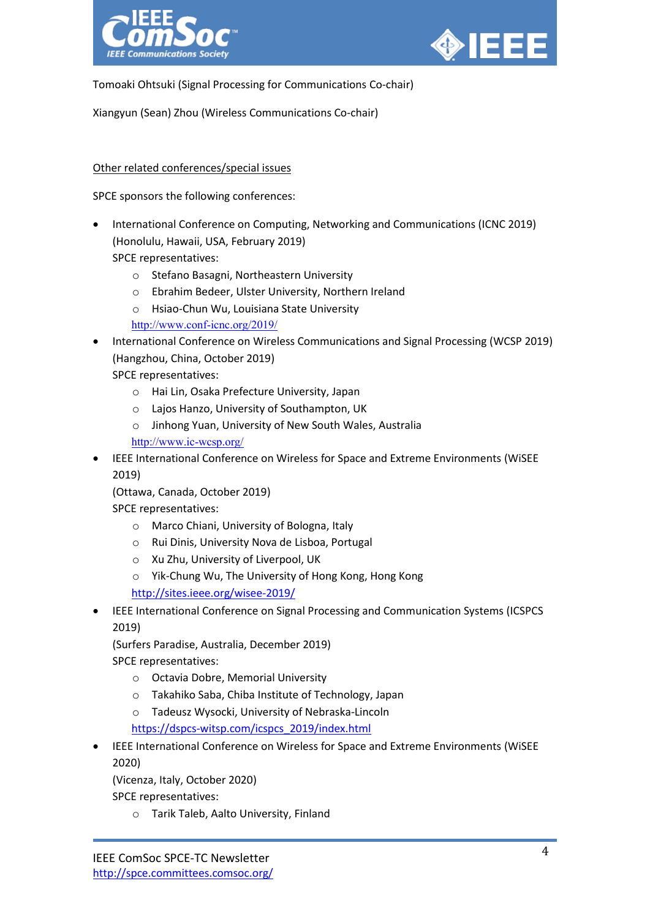



Tomoaki Ohtsuki (Signal Processing for Communications Co-chair)

Xiangyun (Sean) Zhou (Wireless Communications Co-chair)

## Other related conferences/special issues

SPCE sponsors the following conferences:

- International Conference on Computing, Networking and Communications (ICNC 2019) (Honolulu, Hawaii, USA, February 2019) SPCE representatives:
	- o Stefano Basagni, Northeastern University
	- o Ebrahim Bedeer, Ulster University, Northern Ireland
	- o Hsiao-Chun Wu, Louisiana State University
	- <http://www.conf-icnc.org/2019/>
- International Conference on Wireless Communications and Signal Processing (WCSP 2019) (Hangzhou, China, October 2019)

SPCE representatives:

- o Hai Lin, Osaka Prefecture University, Japan
- o Lajos Hanzo, University of Southampton, UK
- o Jinhong Yuan, University of New South Wales, Australia

<http://www.ic-wcsp.org/>

• IEEE International Conference on Wireless for Space and Extreme Environments (WiSEE 2019)

(Ottawa, Canada, October 2019)

SPCE representatives:

- o Marco Chiani, University of Bologna, Italy
- o Rui Dinis, University Nova de Lisboa, Portugal
- o Xu Zhu, University of Liverpool, UK
- o Yik-Chung Wu, The University of Hong Kong, Hong Kong

<http://sites.ieee.org/wisee-2019/>

• IEEE International Conference on Signal Processing and Communication Systems (ICSPCS 2019)

(Surfers Paradise, Australia, December 2019)

SPCE representatives:

- o Octavia Dobre, Memorial University
- o Takahiko Saba, Chiba Institute of Technology, Japan
- o Tadeusz Wysocki, University of Nebraska-Lincoln

[https://dspcs-witsp.com/icspcs\\_2019/index.html](https://dspcs-witsp.com/icspcs_2019/index.html)

• IEEE International Conference on Wireless for Space and Extreme Environments (WiSEE 2020)

(Vicenza, Italy, October 2020)

SPCE representatives:

o Tarik Taleb, Aalto University, Finland

IEEE ComSoc SPCE-TC Newsletter <http://spce.committees.comsoc.org/>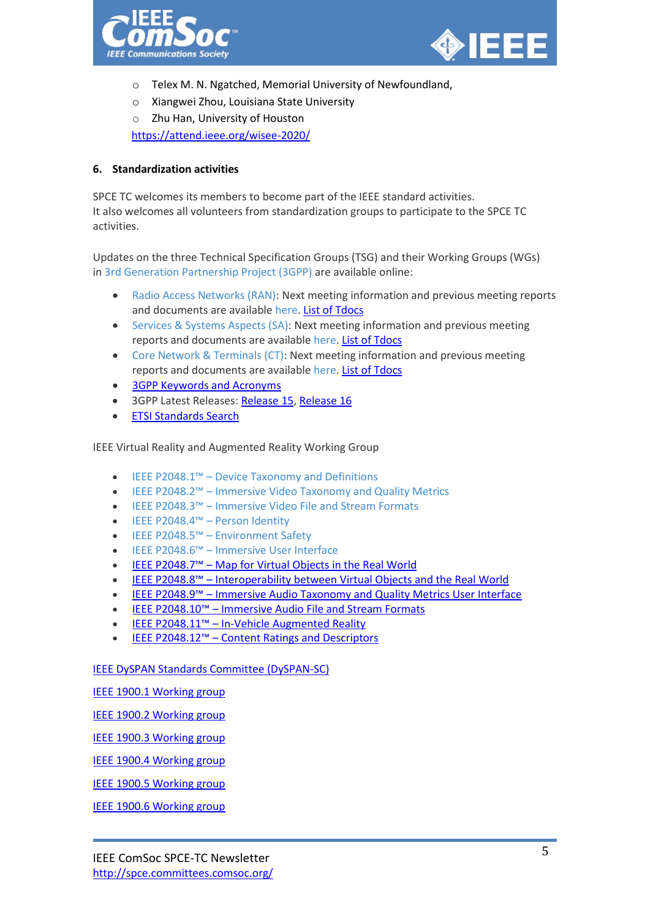



- o Telex M. N. Ngatched, Memorial University of Newfoundland,
- o Xiangwei Zhou, Louisiana State University
- o Zhu Han, University of Houston <https://attend.ieee.org/wisee-2020/>

# **6. Standardization activities**

SPCE TC welcomes its members to become part of the IEEE standard activities. It also welcomes all volunteers from standardization groups to participate to the SPCE TC activities.

Updates on the three Technical Specification Groups (TSG) and their Working Groups (WGs) in [3rd Generation Partnership Project \(3GPP\)](https://urldefense.proofpoint.com/v2/url?u=http-3A__www.3gpp.org_about-2D3gpp_about-2D3gpp&d=DwMF-g&c=7ypwAowFJ8v-mw8AB-SdSueVQgSDL4HiiSaLK01W8HA&r=vdmPWbUqbd5jeh3a3dag8Q&m=971QkMRYxq0GfNhiCDE8TCqhN4CnP1BIuIdA1dXTfrw&s=YpvnI4RHN2_kTeqRFbBX3xVNoEwyBgPHsgO47QebSQg&e=) are available online:

- [Radio Access Networks \(RAN\):](https://urldefense.proofpoint.com/v2/url?u=http-3A__www.3gpp.org_specifications-2Dgroups_ran-2Dplenary&d=DwMF-g&c=7ypwAowFJ8v-mw8AB-SdSueVQgSDL4HiiSaLK01W8HA&r=vdmPWbUqbd5jeh3a3dag8Q&m=971QkMRYxq0GfNhiCDE8TCqhN4CnP1BIuIdA1dXTfrw&s=ChEELdLp3edFnRlxaZuZoA-fNiHx0RfXzREvAQd0upY&e=) Next meeting information and previous meeting reports and documents are available [here.](https://urldefense.proofpoint.com/v2/url?u=http-3A__www.3gpp.org_DynaReport_Meetings-2DSP.htm&d=DwMF-g&c=7ypwAowFJ8v-mw8AB-SdSueVQgSDL4HiiSaLK01W8HA&r=vdmPWbUqbd5jeh3a3dag8Q&m=971QkMRYxq0GfNhiCDE8TCqhN4CnP1BIuIdA1dXTfrw&s=yG98NAdYyywE0aNAtbE8wf9THjJpD6pxeiLuho0C0A4&e=) [List of Tdocs](http://www.3gpp.org/ftp/tsg_ran/)
- [Services & Systems Aspects \(SA\):](https://urldefense.proofpoint.com/v2/url?u=http-3A__www.3gpp.org_specifications-2Dgroups_25-2Dsa&d=DwMF-g&c=7ypwAowFJ8v-mw8AB-SdSueVQgSDL4HiiSaLK01W8HA&r=vdmPWbUqbd5jeh3a3dag8Q&m=971QkMRYxq0GfNhiCDE8TCqhN4CnP1BIuIdA1dXTfrw&s=EZ6IK0ol4MnYpEPq3dbRSrWDOErQ-d05CLyNGN0Da7c&e=) Next meeting information and previous meeting reports and documents are available [here.](https://urldefense.proofpoint.com/v2/url?u=http-3A__www.3gpp.org_DynaReport_Meetings-2DSP.htm&d=DwMF-g&c=7ypwAowFJ8v-mw8AB-SdSueVQgSDL4HiiSaLK01W8HA&r=vdmPWbUqbd5jeh3a3dag8Q&m=971QkMRYxq0GfNhiCDE8TCqhN4CnP1BIuIdA1dXTfrw&s=yG98NAdYyywE0aNAtbE8wf9THjJpD6pxeiLuho0C0A4&e=) [List of Tdocs](http://www.3gpp.org/ftp/tsg_sa/)
- [Core Network & Terminals \(CT\):](https://urldefense.proofpoint.com/v2/url?u=http-3A__www.3gpp.org_specifications-2Dgroups_28-2Drubrique34&d=DwMF-g&c=7ypwAowFJ8v-mw8AB-SdSueVQgSDL4HiiSaLK01W8HA&r=vdmPWbUqbd5jeh3a3dag8Q&m=971QkMRYxq0GfNhiCDE8TCqhN4CnP1BIuIdA1dXTfrw&s=7DjNvIVfEl-xUmNtCuNAtzHswhO8JH413KeMvUwGwvU&e=) Next meeting information and previous meeting reports and documents are available [here.](https://urldefense.proofpoint.com/v2/url?u=http-3A__www.3gpp.org_DynaReport_Meetings-2DCP.htm&d=DwMF-g&c=7ypwAowFJ8v-mw8AB-SdSueVQgSDL4HiiSaLK01W8HA&r=vdmPWbUqbd5jeh3a3dag8Q&m=971QkMRYxq0GfNhiCDE8TCqhN4CnP1BIuIdA1dXTfrw&s=kOHdAnRAnXJ1449SzXTKFrN1P-_Xkk8yVFGszXoKqfI&e=) [List of Tdocs](http://www.3gpp.org/ftp/tsg_ct/)
- [3GPP Keywords and Acronyms](http://www.3gpp.org/technologies/keywords-acronyms)
- 3GPP Latest Releases: [Release 15,](http://www.3gpp.org/release-15) [Release 16](http://www.3gpp.org/release-16)
- [ETSI Standards Search](https://www.etsi.org/standards#Pre-defined%20Collections)

IEEE Virtual Reality and Augmented Reality Working Group

- IEEE P2048.1™ [Device Taxonomy and Definitions](http://emailaccount.cmail19.com/t/t-l-hutkdut-kduyddtlh-o/)
- IEEE P2048.2™ [Immersive Video Taxonomy and Quality Metrics](https://urldefense.proofpoint.com/v2/url?u=http-3A__emailaccount.cmail19.com_t_t-2Dl-2Dhutkdut-2Dkduyddtlh-2Db_&d=DwMF-g&c=7ypwAowFJ8v-mw8AB-SdSueVQgSDL4HiiSaLK01W8HA&r=vdmPWbUqbd5jeh3a3dag8Q&m=971QkMRYxq0GfNhiCDE8TCqhN4CnP1BIuIdA1dXTfrw&s=f-BiS2AH3n1a3KHjcZUsswyXIS1ZrYhH6bDC4t_0rsg&e=)
- IEEE P2048.3™ [Immersive Video File and Stream Formats](http://emailaccount.cmail19.com/t/t-l-hutkdut-kduyddtlh-n/)
- [IEEE P2048.4™ –](https://urldefense.proofpoint.com/v2/url?u=http-3A__emailaccount.cmail19.com_t_t-2Dl-2Dhutkdut-2Dkduyddtlh-2Dp_&d=DwMF-g&c=7ypwAowFJ8v-mw8AB-SdSueVQgSDL4HiiSaLK01W8HA&r=vdmPWbUqbd5jeh3a3dag8Q&m=971QkMRYxq0GfNhiCDE8TCqhN4CnP1BIuIdA1dXTfrw&s=BTO55mbyPDdZerb_GwKTOnDX5m752gKAwSf6jcg4tww&e=) Person Identity
- IEEE P2048.5™ [Environment Safety](https://urldefense.proofpoint.com/v2/url?u=http-3A__emailaccount.cmail19.com_t_t-2Dl-2Dhutkdut-2Dkduyddtlh-2Dc_&d=DwMF-g&c=7ypwAowFJ8v-mw8AB-SdSueVQgSDL4HiiSaLK01W8HA&r=vdmPWbUqbd5jeh3a3dag8Q&m=971QkMRYxq0GfNhiCDE8TCqhN4CnP1BIuIdA1dXTfrw&s=7HL8nF2XQhQKQ6Spx7Fqc1_F83cFZzsbhqKQtauruCM&e=)
- IEEE P2048.6™ [Immersive User Interface](https://standards.ieee.org/project/2048_6.html)
- IEEE P2048.7™ [Map for Virtual Objects in the Real World](https://standards.ieee.org/project/2048_7.html)
- IEEE P2048.8™ [Interoperability between Virtual Objects and the Real World](https://standards.ieee.org/project/2048_8.html)
- IEEE P2048.9™ [Immersive Audio Taxonomy and Quality Metrics User Interface](https://standards.ieee.org/project/2048_9.html)
- IEEE P2048.10™ [Immersive Audio File and Stream Formats](https://standards.ieee.org/project/2048_10.html)
- IEEE P2048.11™ [In-Vehicle Augmented Reality](https://standards.ieee.org/project/2048_11.html)
- IEEE P2048.12™ [Content Ratings and Descriptors](https://standards.ieee.org/project/2048_12.html)

[IEEE DySPAN Standards Committee \(DySPAN-SC\)](http://grouper.ieee.org/groups/dyspan/index.html)

[IEEE 1900.1 Working group](http://grouper.ieee.org/groups/dyspan/1/index.htm)

[IEEE 1900.2 Working group](http://grouper.ieee.org/groups/dyspan/2/index.htm)

[IEEE 1900.3 Working group](http://grouper.ieee.org/groups/dyspan/3/index.htm)

[IEEE 1900.4 Working group](http://grouper.ieee.org/groups/dyspan/4/index.htm)

[IEEE 1900.5 Working group](http://grouper.ieee.org/groups/dyspan/5/index.htm)

[IEEE 1900.6 Working group](http://grouper.ieee.org/groups/dyspan/6/index.htm)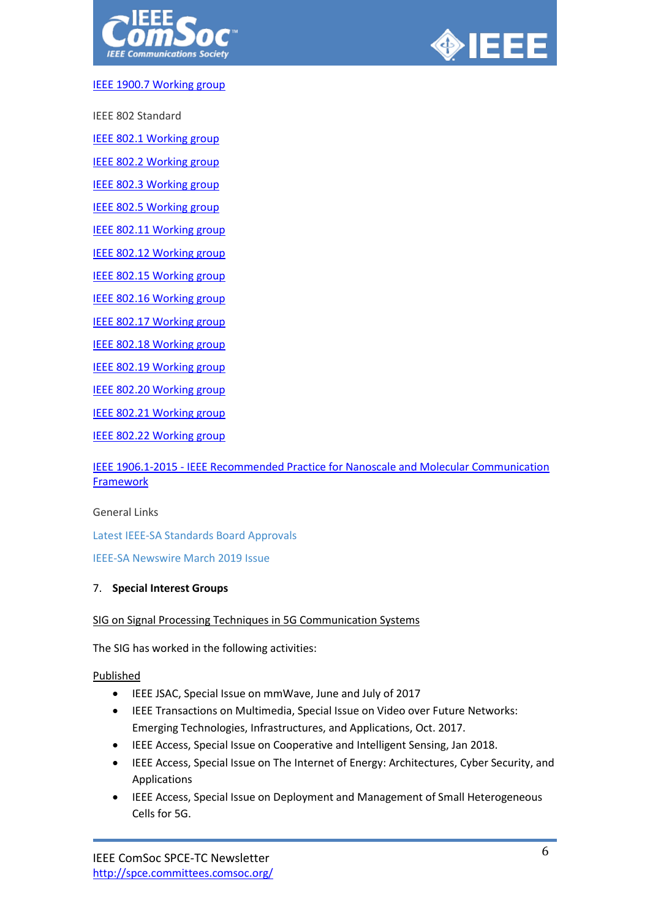



## [IEEE 1900.7 Working group](http://grouper.ieee.org/groups/dyspan/7/index.htm)

IEEE 802 Standard

[IEEE 802.1 Working group](http://grouper.ieee.org/groups/802/1/index.html)

[IEEE 802.2 Working group](http://grouper.ieee.org/groups/802/2/index.html)

[IEEE 802.3 Working group](http://grouper.ieee.org/groups/802/3/index.html)

[IEEE 802.5 Working group](http://www.ieee802.org/5/www8025org/)

[IEEE 802.11 Working group](http://grouper.ieee.org/groups/802/11/index.html)

[IEEE 802.12 Working group](http://grouper.ieee.org/groups/802/12/index.html)

[IEEE 802.15 Working group](http://grouper.ieee.org/groups/802/15/)

[IEEE 802.16 Working group](http://grouper.ieee.org/groups/802/16/index.html)

[IEEE 802.17 Working group](http://grouper.ieee.org/groups/802/17/)

**[IEEE 802.18 Working group](http://grouper.ieee.org/groups/802/18/)** 

[IEEE 802.19 Working group](http://grouper.ieee.org/groups/802/19/)

[IEEE 802.20 Working group](http://grouper.ieee.org/groups/802/20/)

[IEEE 802.21 Working group](http://www.ieee802.org/21/index.html)

[IEEE 802.22 Working group](http://www.ieee802.org/22/)

# IEEE 1906.1-2015 - [IEEE Recommended Practice for Nanoscale and Molecular Communication](https://standards.ieee.org/standard/1906_1-2015.html)  **[Framework](https://standards.ieee.org/standard/1906_1-2015.html)**

## General Links

[Latest IEEE-SA Standards Board Approvals](http://standards.ieee.org/news/index.html#board-approvals)

[IEEE-SA Newswire March 2019 Issue](http://standards.ieee.org/news/swire/index.html)

## 7. **Special Interest Groups**

# SIG on Signal Processing Techniques in 5G Communication Systems

The SIG has worked in the following activities:

## Published

- IEEE JSAC, Special Issue on mmWave, June and July of 2017
- IEEE Transactions on Multimedia, Special Issue on Video over Future Networks: Emerging Technologies, Infrastructures, and Applications, Oct. 2017.
- IEEE Access, Special Issue on Cooperative and Intelligent Sensing, Jan 2018.
- IEEE Access, Special Issue on The Internet of Energy: Architectures, Cyber Security, and Applications
- IEEE Access, Special Issue on Deployment and Management of Small Heterogeneous Cells for 5G.